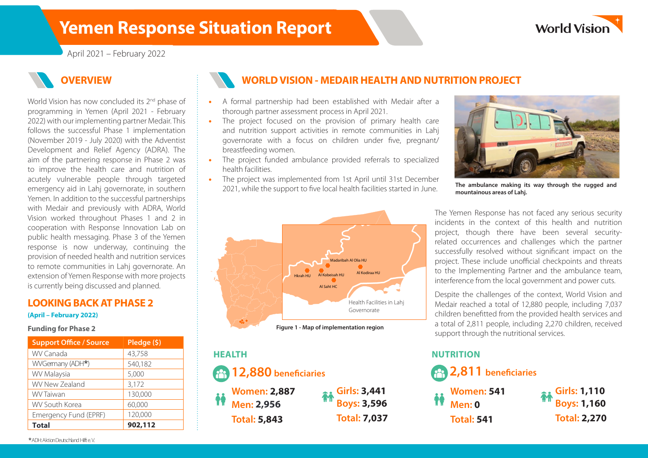# **Yemen Response Situation Report**



April 2021 – February 2022

## **OVERVIEW**

World Vision has now concluded its 2<sup>nd</sup> phase of programming in Yemen (April 2021 - February 2022) with our implementing partner Medair. This follows the successful Phase 1 implementation (November 2019 - July 2020) with the Adventist Development and Relief Agency (ADRA). The aim of the partnering response in Phase 2 was to improve the health care and nutrition of acutely vulnerable people through targeted emergency aid in Lahj governorate, in southern Yemen. In addition to the successful partnerships with Medair and previously with ADRA, World Vision worked throughout Phases 1 and 2 in cooperation with Response Innovation Lab on public health messaging. Phase 3 of the Yemen response is now underway, continuing the provision of needed health and nutrition services to remote communities in Lahj governorate. An extension of Yemen Response with more projects is currently being discussed and planned.

### **LOOKING BACK AT PHASE 2**

#### **(April – February 2022)**

#### **Funding for Phase 2**

| <b>Support Office / Source</b> | Pledge (\$) |
|--------------------------------|-------------|
| WV Canada                      | 43,758      |
| WVGermany (ADH*)               | 540,182     |
| WV Malaysia                    | 5,000       |
| <b>WV New Zealand</b>          | 3,172       |
| <b>WV Taiwan</b>               | 130,000     |
| <b>WV South Korea</b>          | 60,000      |
| Emergency Fund (EPRF)          | 120,000     |
| <b>Total</b>                   | 902,112     |

## **WORLD VISION - MEDAIR HEALTH AND NUTRITION PROJECT**

- A formal partnership had been established with Medair after a thorough partner assessment process in April 2021.
- The project focused on the provision of primary health care and nutrition support activities in remote communities in Lahj governorate with a focus on children under five, pregnant/ breastfeeding women.
- The project funded ambulance provided referrals to specialized health facilities.
- The project was implemented from 1st April until 31st December 2021, while the support to five local health facilities started in June.



# **Men: 2,956 Women: 2,887 Girls: 3,441 12,880 bene!ciaries HEALTH Total: 5,843 Total: 7,037**





**The ambulance making its way through the rugged and mountainous areas of Lahj.**

The Yemen Response has not faced any serious security incidents in the context of this health and nutrition project, though there have been several securityrelated occurrences and challenges which the partner successfully resolved without significant impact on the project. These include unofficial checkpoints and threats to the Implementing Partner and the ambulance team, interference from the local government and power cuts.

Despite the challenges of the context, World Vision and Medair reached a total of 12,880 people, including 7,037 children benefitted from the provided health services and a total of 2,811 people, including 2,270 children, received support through the nutritional services.

### **NUTRITION**

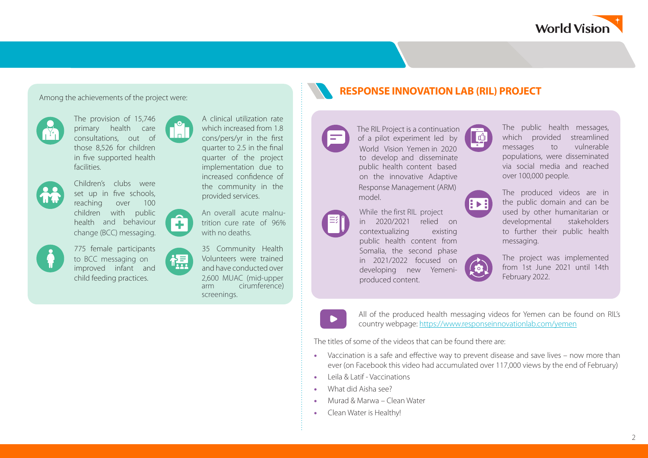

The provision of 15,746



primary health care consultations, out of those 8,526 for children in five supported health facilities.



Children's clubs were set up in five schools, reaching over 100 children with public health and behaviour change (BCC) messaging.

775 female participants improved infant and child feeding practices. to BCC messaging on

÷.

槱



An overall acute malnutrition cure rate of 96% with no deaths.

35 Community Health Volunteers were trained and have conducted over 2,600 MUAC (mid-upper arm cirumference) screenings.

# Among the achievements of the project were: **Response in the set of the project were: RESPONSE INNOVATION LAB (RIL) PROJECT**



model.

produced content.



The public health messages, which provided streamlined messages to vulnerable populations, were disseminated via social media and reached over 100,000 people.



The produced videos are in the public domain and can be used by other humanitarian or developmental stakeholders to further their public health messaging.



The project was implemented from 1st June 2021 until 14th February 2022.



All of the produced health messaging videos for Yemen can be found on RIL's country webpage: <https://www.responseinnovationlab.com/yemen>

The titles of some of the videos that can be found there are:

contextualizing existing public health content from Somalia, the second phase in 2021/2022 focused on developing new Yemeni-

While the first RIL project

- Vaccination is a safe and effective way to prevent disease and save lives now more than ever (on Facebook this video had accumulated over 117,000 views by the end of February)
- Leila & Latif Vaccinations
- What did Aisha see?
- Murad & Marwa Clean Water
- Clean Water is Healthy!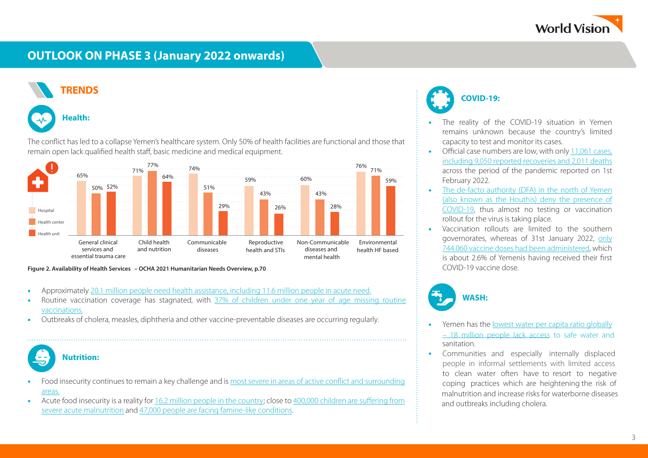

## **OUTLOOK ON PHASE 3 (January 2022 onwards)**



The conflict has led to a collapse Yemen's healthcare system. Only 50% of health facilities are functional and those that remain open lack qualified health staff, basic medicine and medical equipment.



**Figure 2. Availability of Health Services – OCHA 2021 Humanitarian Needs Overview, p.70**

- Approximately [20.1 million people need health assistance, including 11.6 million people in acute need.](https://reliefweb.int/sites/reliefweb.int/files/resources/yemen_health_cluster_bulletin_-_july_august_2021_1.pdf)
- Routine vaccination coverage has stagnated, with [37% of children under one year of age missing routine](https://thedocs.worldbank.org/en/doc/8aca65c4db5338cd3a408c0d4a147123-0280012021/original/Yemen-Health-Policy-Note-Sep2021.pdf)  [vaccinations.](https://thedocs.worldbank.org/en/doc/8aca65c4db5338cd3a408c0d4a147123-0280012021/original/Yemen-Health-Policy-Note-Sep2021.pdf)
- Outbreaks of cholera, measles, diphtheria and other vaccine-preventable diseases are occurring regularly.

## **Nutrition:**

- Food insecurity continues to remain a key challenge and is [most severe in areas of active con](https://reliefweb.int/sites/reliefweb.int/files/resources/Global%20Humanitarian%20Overview%202022.pdf)flict and surrounding [areas.](https://reliefweb.int/sites/reliefweb.int/files/resources/Global%20Humanitarian%20Overview%202022.pdf)
- Acute food insecurity is a reality for [16.2 million people in the country](https://reliefweb.int/sites/reliefweb.int/files/resources/Global%20Humanitarian%20Overview%202022.pdf); close to [400,000 children are su](https://www.reuters.com/article/yemen-security-malnutrition-int-idUSKBN2AC18V)ffering from [severe acute malnutrition](https://www.reuters.com/article/yemen-security-malnutrition-int-idUSKBN2AC18V) and [47,000 people are facing famine-like conditions](https://reliefweb.int/sites/reliefweb.int/files/resources/WFP-0000133779_0.pdf).



- The reality of the COVID-19 situation in Yemen remains unknown because the country's limited capacity to test and monitor its cases.
- Official case numbers are low, with only 11,061 cases. [including 9,050 reported recoveries and 2,011 deaths](https://covid19.who.int/region/emro/country/ye) across the period of the pandemic reported on 1st February 2022.
- [The de-facto authority \(DFA\) in the north of Yemen](https://www.acaps.org/sites/acaps/files/products/files/20220110_acaps_yemen_analysis_hub_thematic_report_covid-19_and_vaccine_hesitancy_0.pdf) [\(also known as the Houthis\) deny the presence of](https://www.acaps.org/sites/acaps/files/products/files/20220110_acaps_yemen_analysis_hub_thematic_report_covid-19_and_vaccine_hesitancy_0.pdf) [COVID-19,](https://www.acaps.org/sites/acaps/files/products/files/20220110_acaps_yemen_analysis_hub_thematic_report_covid-19_and_vaccine_hesitancy_0.pdf) thus almost no testing or vaccination rollout for the virus is taking place.
- Vaccination rollouts are limited to the southern governorates, whereas of 31st January 2022, [only](https://covid19.who.int/region/emro/country/ye) [744.060 vaccine doses had been administered,](https://covid19.who.int/region/emro/country/ye) which is about 2.6% of Yemenis having received their first COVID-19 vaccine dose.



- Yemen has the [lowest water per capita ratio globally](https://reliefweb.int/sites/reliefweb.int/files/resources/Yemen_HNO_2021_Final.pdf) sanitation. [– 18 million people lack access to safe water and](https://reliefweb.int/sites/reliefweb.int/files/resources/Yemen_HNO_2021_Final.pdf)
- Communities and especially internally displaced and outbreaks including cholera. people in informal settlements with limited access to clean water often have to resort to negative coping practices which are heightening the risk of malnutrition and increase risks for waterborne diseases